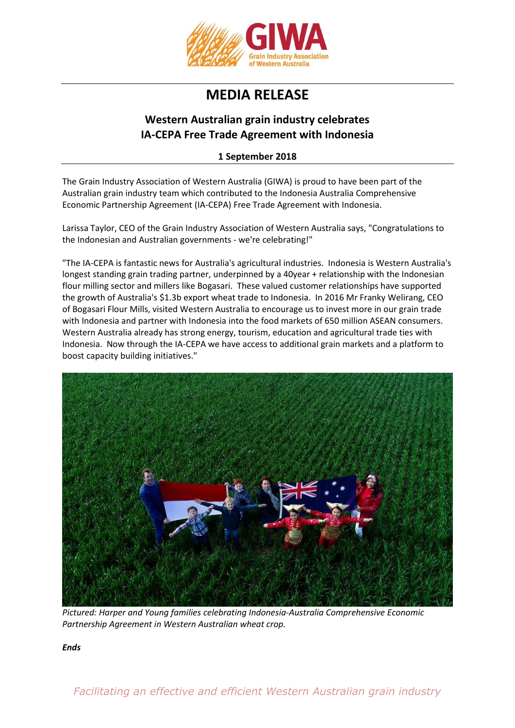

## **MEDIA RELEASE**

## **Western Australian grain industry celebrates IA-CEPA Free Trade Agreement with Indonesia**

## **1 September 2018**

The Grain Industry Association of Western Australia (GIWA) is proud to have been part of the Australian grain industry team which contributed to the Indonesia Australia Comprehensive Economic Partnership Agreement (IA-CEPA) Free Trade Agreement with Indonesia.

Larissa Taylor, CEO of the Grain Industry Association of Western Australia says, "Congratulations to the Indonesian and Australian governments - we're celebrating!"

"The IA-CEPA is fantastic news for Australia's agricultural industries. Indonesia is Western Australia's longest standing grain trading partner, underpinned by a 40year + relationship with the Indonesian flour milling sector and millers like Bogasari. These valued customer relationships have supported the growth of Australia's \$1.3b export wheat trade to Indonesia. In 2016 Mr Franky Welirang, CEO of Bogasari Flour Mills, visited Western Australia to encourage us to invest more in our grain trade with Indonesia and partner with Indonesia into the food markets of 650 million ASEAN consumers. Western Australia already has strong energy, tourism, education and agricultural trade ties with Indonesia. Now through the IA-CEPA we have access to additional grain markets and a platform to boost capacity building initiatives."



*Pictured: Harper and Young families celebrating Indonesia-Australia Comprehensive Economic Partnership Agreement in Western Australian wheat crop.*

*Ends*